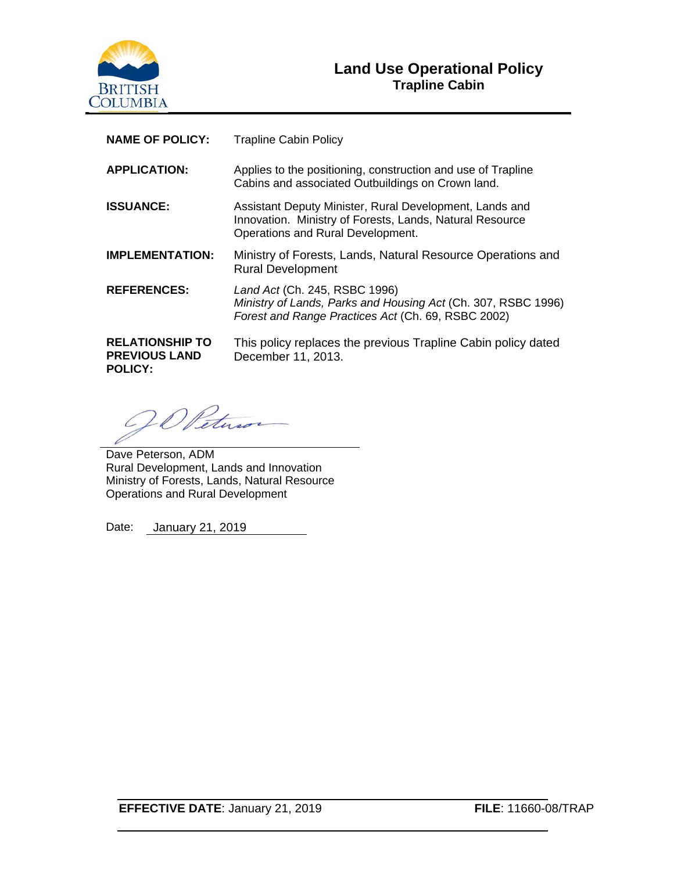

| <b>NAME OF POLICY:</b>                                           | <b>Trapline Cabin Policy</b>                                                                                                                             |
|------------------------------------------------------------------|----------------------------------------------------------------------------------------------------------------------------------------------------------|
| <b>APPLICATION:</b>                                              | Applies to the positioning, construction and use of Trapline<br>Cabins and associated Outbuildings on Crown land.                                        |
| <b>ISSUANCE:</b>                                                 | Assistant Deputy Minister, Rural Development, Lands and<br>Innovation. Ministry of Forests, Lands, Natural Resource<br>Operations and Rural Development. |
| <b>IMPLEMENTATION:</b>                                           | Ministry of Forests, Lands, Natural Resource Operations and<br><b>Rural Development</b>                                                                  |
| <b>REFERENCES:</b>                                               | Land Act (Ch. 245, RSBC 1996)<br>Ministry of Lands, Parks and Housing Act (Ch. 307, RSBC 1996)<br>Forest and Range Practices Act (Ch. 69, RSBC 2002)     |
| <b>RELATIONSHIP TO</b><br><b>PREVIOUS LAND</b><br><b>POLICY:</b> | This policy replaces the previous Trapline Cabin policy dated<br>December 11, 2013.                                                                      |

Vet

Dave Peterson, ADM Rural Development, Lands and Innovation Ministry of Forests, Lands, Natural Resource Operations and Rural Development

Date: January 21, 2019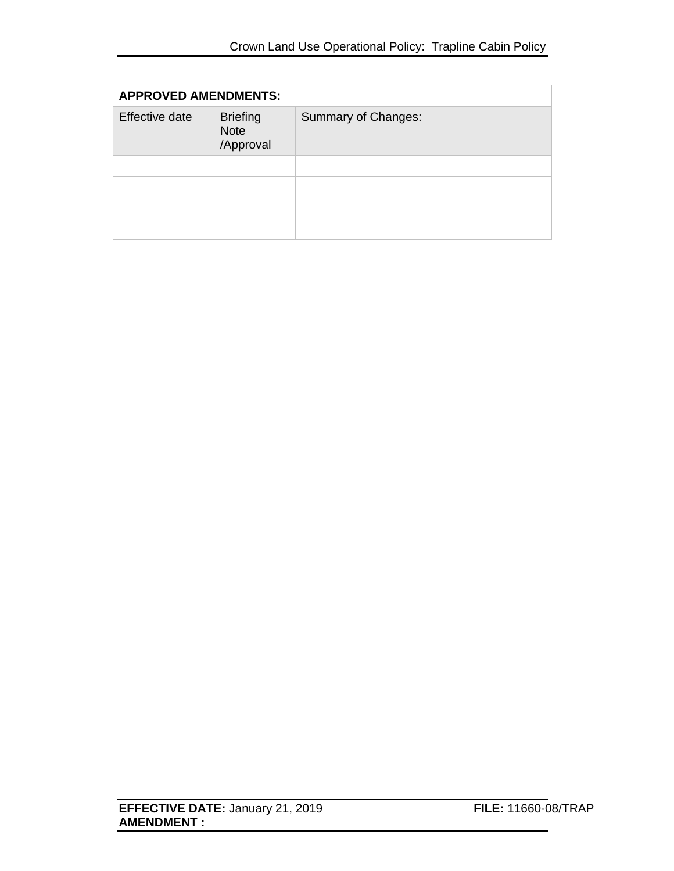| <b>APPROVED AMENDMENTS:</b> |                                             |                     |  |
|-----------------------------|---------------------------------------------|---------------------|--|
| Effective date              | <b>Briefing</b><br><b>Note</b><br>/Approval | Summary of Changes: |  |
|                             |                                             |                     |  |
|                             |                                             |                     |  |
|                             |                                             |                     |  |
|                             |                                             |                     |  |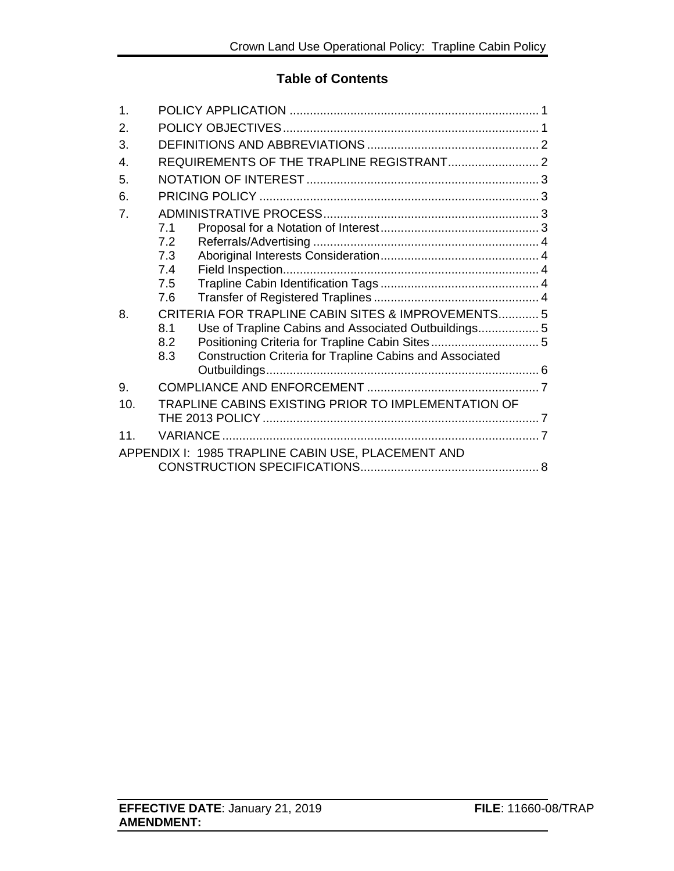#### **Table of Contents**

| 1.               |                                                                        |  |
|------------------|------------------------------------------------------------------------|--|
| 2.               |                                                                        |  |
| 3.               |                                                                        |  |
| $\mathbf{4}$ .   |                                                                        |  |
| 5.               |                                                                        |  |
| 6.               |                                                                        |  |
| $\overline{7}$ . |                                                                        |  |
|                  | 7.1                                                                    |  |
|                  | 7.2                                                                    |  |
|                  | 7.3                                                                    |  |
|                  | 7.4                                                                    |  |
|                  | 7.5<br>7.6                                                             |  |
|                  |                                                                        |  |
| 8.               | CRITERIA FOR TRAPLINE CABIN SITES & IMPROVEMENTS 5<br>8.1              |  |
|                  | 8.2                                                                    |  |
|                  | <b>Construction Criteria for Trapline Cabins and Associated</b><br>8.3 |  |
|                  |                                                                        |  |
| 9.               |                                                                        |  |
| 10.              | TRAPLINE CABINS EXISTING PRIOR TO IMPLEMENTATION OF                    |  |
|                  |                                                                        |  |
| 11               |                                                                        |  |
|                  | APPENDIX I: 1985 TRAPLINE CABIN USE, PLACEMENT AND                     |  |
|                  |                                                                        |  |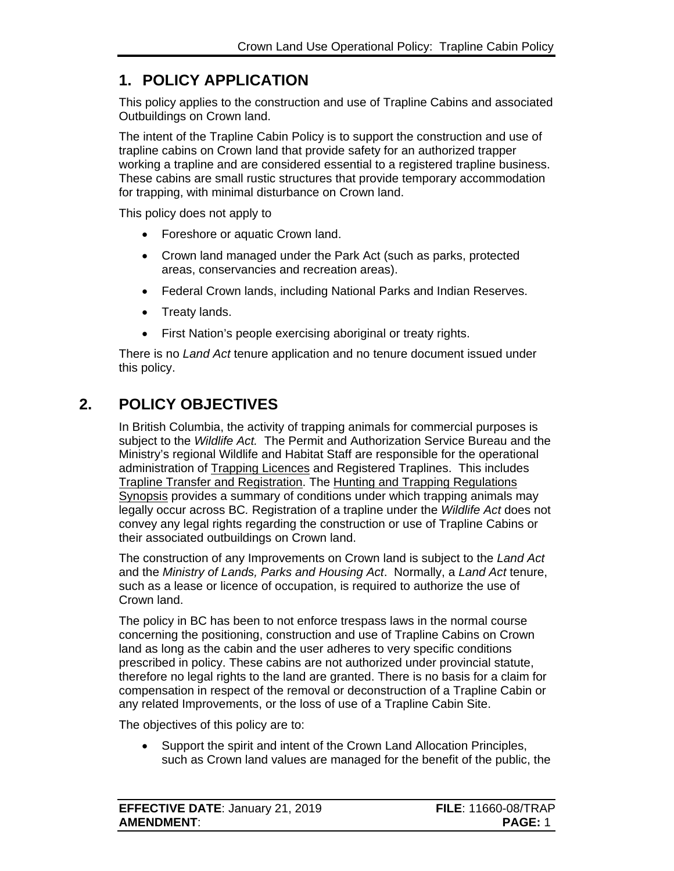## <span id="page-3-0"></span>**1. POLICY APPLICATION**

This policy applies to the construction and use of Trapline Cabins and associated Outbuildings on Crown land.

The intent of the Trapline Cabin Policy is to support the construction and use of trapline cabins on Crown land that provide safety for an authorized trapper working a trapline and are considered essential to a registered trapline business. These cabins are small rustic structures that provide temporary accommodation for trapping, with minimal disturbance on Crown land.

This policy does not apply to

- Foreshore or aquatic Crown land.
- Crown land managed under the Park Act (such as parks, protected areas, conservancies and recreation areas).
- Federal Crown lands, including National Parks and Indian Reserves.
- Treaty lands.
- First Nation's people exercising aboriginal or treaty rights.

There is no *Land Act* tenure application and no tenure document issued under this policy.

## **2. POLICY OBJECTIVES**

<span id="page-3-1"></span>In British Columbia, the activity of trapping animals for commercial purposes is subject to the *Wildlife Act.* The [Permit and Authorization Service Bureau](http://www.env.gov.bc.ca/pasb) and the Ministry's regional Wildlife and Habitat Staff are responsible for the operational administration of [Trapping Licences](http://www.env.gov.bc.ca/pasb/applications/process/trapper.html) and Registered Traplines. This includes [Trapline Transfer and Registration.](https://portal.nrs.gov.bc.ca/web/client/-/trapline-transfer-registration) The [Hunting and Trapping Regulations](http://https/www2.gov.bc.ca/gov/content/sports-culture/recreation/fishing-hunting/hunting/regulations-synopsis)  [Synopsis](http://https/www2.gov.bc.ca/gov/content/sports-culture/recreation/fishing-hunting/hunting/regulations-synopsis) provides a summary of conditions under which trapping animals may legally occur across BC*.* Registration of a trapline under the *Wildlife Act* does not convey any legal rights regarding the construction or use of Trapline Cabins or their associated outbuildings on Crown land.

The construction of any Improvements on Crown land is subject to the *Land Act* and the *Ministry of Lands, Parks and Housing Act*. Normally, a *Land Act* tenure, such as a lease or licence of occupation, is required to authorize the use of Crown land.

The policy in BC has been to not enforce trespass laws in the normal course concerning the positioning, construction and use of Trapline Cabins on Crown land as long as the cabin and the user adheres to very specific conditions prescribed in policy. These cabins are not authorized under provincial statute, therefore no legal rights to the land are granted. There is no basis for a claim for compensation in respect of the removal or deconstruction of a Trapline Cabin or any related Improvements, or the loss of use of a Trapline Cabin Site.

The objectives of this policy are to:

• Support the spirit and intent of the Crown Land Allocation Principles, such as Crown land values are managed for the benefit of the public, the

| <b>EFFECTIVE DATE: January 21, 2019</b> | <b>FILE: 11660-08/TRAP</b> |
|-----------------------------------------|----------------------------|
| <b>AMENDMENT:</b>                       | <b>PAGE: 1</b>             |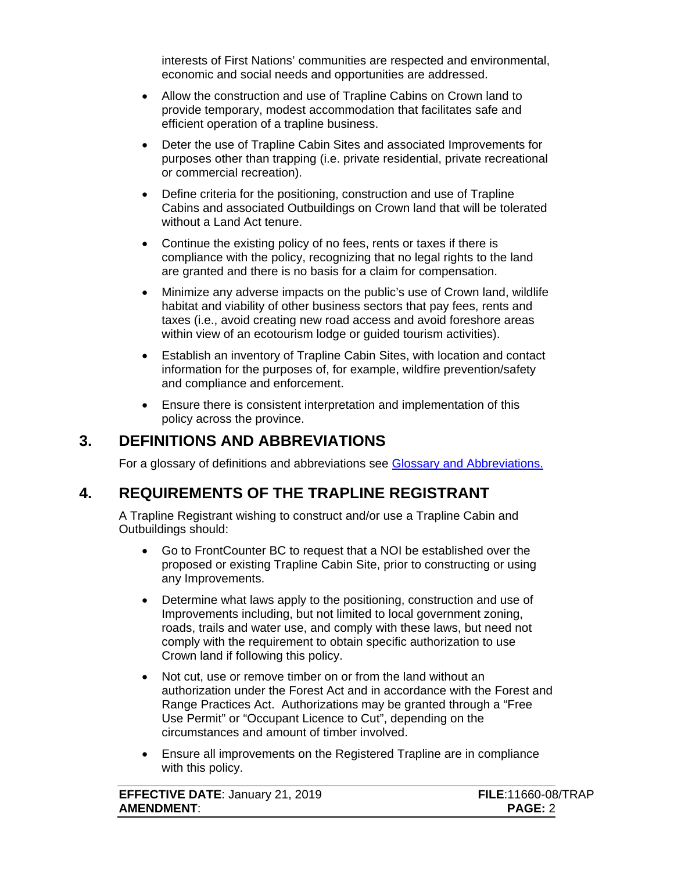interests of First Nations' communities are respected and environmental, economic and social needs and opportunities are addressed.

- Allow the construction and use of Trapline Cabins on Crown land to provide temporary, modest accommodation that facilitates safe and efficient operation of a trapline business.
- Deter the use of Trapline Cabin Sites and associated Improvements for purposes other than trapping (i.e. private residential, private recreational or commercial recreation).
- Define criteria for the positioning, construction and use of Trapline Cabins and associated Outbuildings on Crown land that will be tolerated without a Land Act tenure.
- Continue the existing policy of no fees, rents or taxes if there is compliance with the policy, recognizing that no legal rights to the land are granted and there is no basis for a claim for compensation.
- Minimize any adverse impacts on the public's use of Crown land, wildlife habitat and viability of other business sectors that pay fees, rents and taxes (i.e., avoid creating new road access and avoid foreshore areas within view of an ecotourism lodge or guided tourism activities).
- Establish an inventory of Trapline Cabin Sites, with location and contact information for the purposes of, for example, wildfire prevention/safety and compliance and enforcement.
- Ensure there is consistent interpretation and implementation of this policy across the province.

## **3. DEFINITIONS AND ABBREVIATIONS**

<span id="page-4-0"></span>For a glossary of definitions and abbreviations see [Glossary and Abbreviations.](https://www2.gov.bc.ca/assets/gov/farming-natural-resources-and-industry/natural-resource-use/land-water-use/crown-land/glossary_and_abbreviations.pdf)

#### **4. REQUIREMENTS OF THE TRAPLINE REGISTRANT**

<span id="page-4-1"></span>A Trapline Registrant wishing to construct and/or use a Trapline Cabin and Outbuildings should:

- Go to FrontCounter BC to request that a NOI be established over the proposed or existing Trapline Cabin Site, prior to constructing or using any Improvements.
- Determine what laws apply to the positioning, construction and use of Improvements including, but not limited to local government zoning, roads, trails and water use, and comply with these laws, but need not comply with the requirement to obtain specific authorization to use Crown land if following this policy.
- Not cut, use or remove timber on or from the land without an authorization under the Forest Act and in accordance with the Forest and Range Practices Act. Authorizations may be granted through a "Free Use Permit" or "Occupant Licence to Cut", depending on the circumstances and amount of timber involved.
- Ensure all improvements on the Registered Trapline are in compliance with this policy.

| <b>EFFECTIVE DATE: January 21, 2019</b> | <b>FILE:11660-08</b> |
|-----------------------------------------|----------------------|
| <b>AMENDMENT:</b>                       | <b>PAGE: 2</b>       |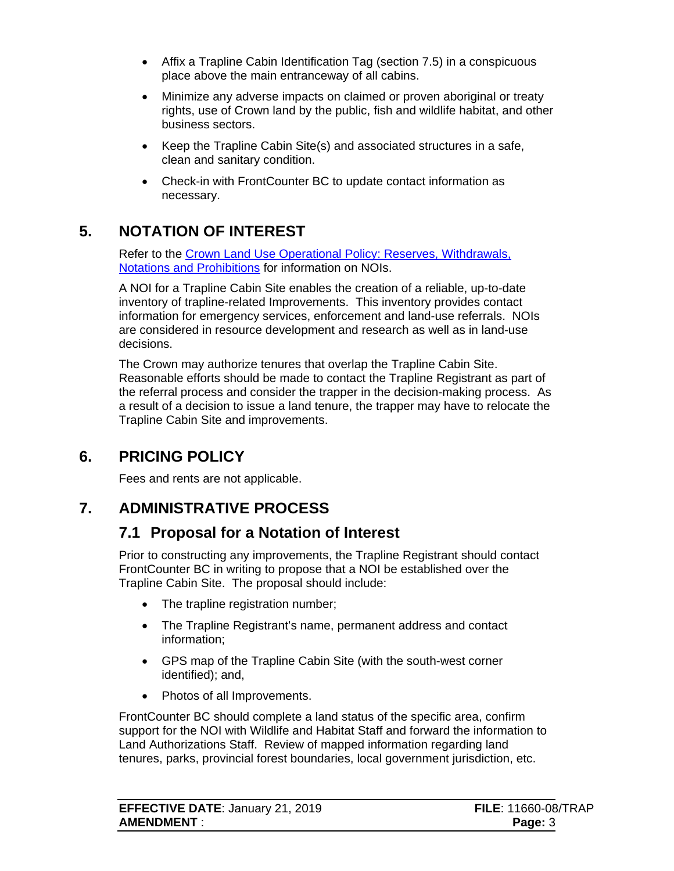- Affix a Trapline Cabin Identification Tag (section 7.5) in a conspicuous place above the main entranceway of all cabins.
- Minimize any adverse impacts on claimed or proven aboriginal or treaty rights, use of Crown land by the public, fish and wildlife habitat, and other business sectors.
- Keep the Trapline Cabin Site(s) and associated structures in a safe, clean and sanitary condition.
- Check-in with FrontCounter BC to update contact information as necessary.

# **5. NOTATION OF INTEREST**

<span id="page-5-0"></span>Refer to the [Crown Land Use Operational Policy:](http://www2.gov.bc.ca/assets/gov/farming-natural-resources-and-industry/natural-resource-use/land-water-use/crown-land/reserves.pdf) Reserves, Withdrawals, [Notations and Prohibitions](http://www2.gov.bc.ca/assets/gov/farming-natural-resources-and-industry/natural-resource-use/land-water-use/crown-land/reserves.pdf) for information on NOIs.

A NOI for a Trapline Cabin Site enables the creation of a reliable, up-to-date inventory of trapline-related Improvements. This inventory provides contact information for emergency services, enforcement and land-use referrals. NOIs are considered in resource development and research as well as in land-use decisions.

The Crown may authorize tenures that overlap the Trapline Cabin Site. Reasonable efforts should be made to contact the Trapline Registrant as part of the referral process and consider the trapper in the decision-making process. As a result of a decision to issue a land tenure, the trapper may have to relocate the Trapline Cabin Site and improvements.

### **6. PRICING POLICY**

<span id="page-5-1"></span>Fees and rents are not applicable.

### **7. ADMINISTRATIVE PROCESS**

### <span id="page-5-3"></span><span id="page-5-2"></span>**7.1 Proposal for a Notation of Interest**

Prior to constructing any improvements, the Trapline Registrant should contact FrontCounter BC in writing to propose that a NOI be established over the Trapline Cabin Site. The proposal should include:

- The trapline registration number;
- The Trapline Registrant's name, permanent address and contact information;
- GPS map of the Trapline Cabin Site (with the south-west corner identified); and,
- Photos of all Improvements.

FrontCounter BC should complete a land status of the specific area, confirm support for the NOI with Wildlife and Habitat Staff and forward the information to Land Authorizations Staff. Review of mapped information regarding land tenures, parks, provincial forest boundaries, local government jurisdiction, etc.

| <b>EFFECTIVE DATE: January 21, 2019</b> | <b>FILE: 11660-08/TRAP</b> |
|-----------------------------------------|----------------------------|
| <b>AMENDMENT:</b>                       | Page: 3                    |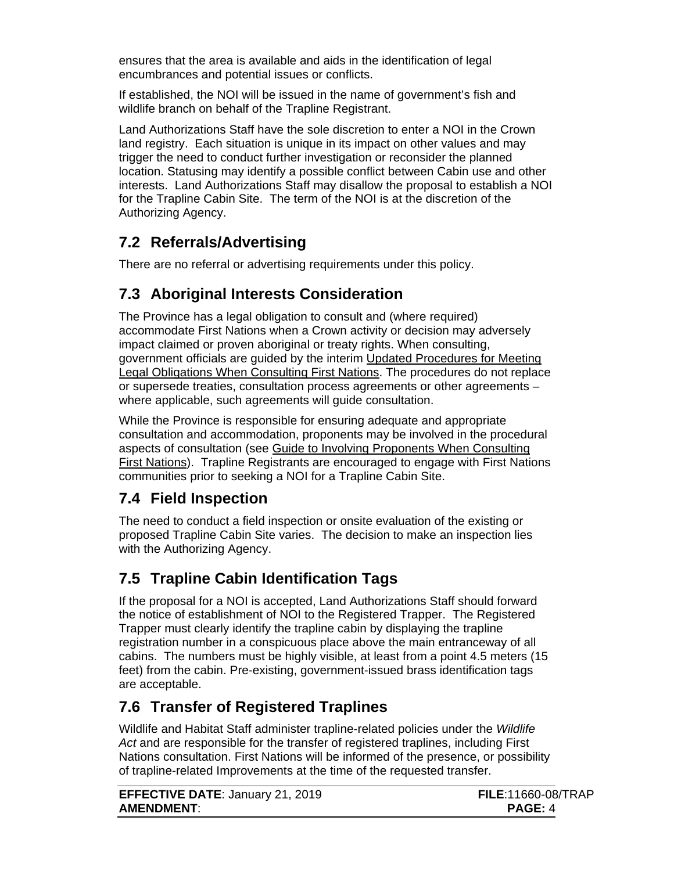ensures that the area is available and aids in the identification of legal encumbrances and potential issues or conflicts.

If established, the NOI will be issued in the name of government's fish and wildlife branch on behalf of the Trapline Registrant.

Land Authorizations Staff have the sole discretion to enter a NOI in the Crown land registry. Each situation is unique in its impact on other values and may trigger the need to conduct further investigation or reconsider the planned location. Statusing may identify a possible conflict between Cabin use and other interests. Land Authorizations Staff may disallow the proposal to establish a NOI for the Trapline Cabin Site. The term of the NOI is at the discretion of the Authorizing Agency.

## <span id="page-6-0"></span>**7.2 Referrals/Advertising**

There are no referral or advertising requirements under this policy.

## <span id="page-6-1"></span>**7.3 Aboriginal Interests Consideration**

The Province has a legal obligation to consult and (where required) accommodate First Nations when a Crown activity or decision may adversely impact claimed or proven aboriginal or treaty rights. When consulting, government officials are guided by the interim [Updated Procedures for Meeting](http://www.gov.bc.ca/arr/reports/down/updated_procedures.pdf)  [Legal Obligations When Consulting First Nations.](http://www.gov.bc.ca/arr/reports/down/updated_procedures.pdf) The procedures do not replace or supersede treaties, consultation process agreements or other agreements – where applicable, such agreements will guide consultation.

While the Province is responsible for ensuring adequate and appropriate consultation and accommodation, proponents may be involved in the procedural aspects of consultation (see Guide to Involving Proponents When Consulting [First Nations\)](http://www.gov.bc.ca/arr/consultation/down/guide_to_involving_proponents_2011.pdf). Trapline Registrants are encouraged to engage with First Nations communities prior to seeking a NOI for a Trapline Cabin Site.

### <span id="page-6-2"></span>**7.4 Field Inspection**

The need to conduct a field inspection or onsite evaluation of the existing or proposed Trapline Cabin Site varies. The decision to make an inspection lies with the Authorizing Agency.

# <span id="page-6-3"></span>**7.5 Trapline Cabin Identification Tags**

If the proposal for a NOI is accepted, Land Authorizations Staff should forward the notice of establishment of NOI to the Registered Trapper. The Registered Trapper must clearly identify the trapline cabin by displaying the trapline registration number in a conspicuous place above the main entranceway of all cabins. The numbers must be highly visible, at least from a point 4.5 meters (15 feet) from the cabin. Pre-existing, government-issued brass identification tags are acceptable.

## <span id="page-6-4"></span>**7.6 Transfer of Registered Traplines**

Wildlife and Habitat Staff administer trapline-related policies under the *Wildlife Act* and are responsible for the transfer of registered traplines, including First Nations consultation. First Nations will be informed of the presence, or possibility of trapline-related Improvements at the time of the requested transfer.

| <b>EFFECTIVE DATE: January 21, 2019</b> | <b>FILE:11660-08</b> |
|-----------------------------------------|----------------------|
| <b>AMENDMENT:</b>                       | <b>PAGE: 4</b>       |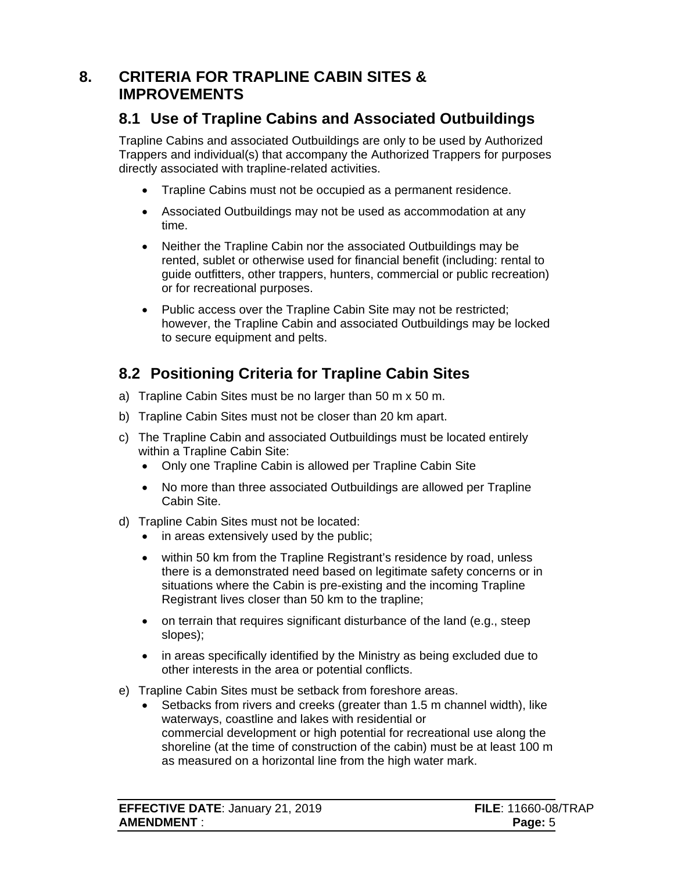### <span id="page-7-0"></span>**8. CRITERIA FOR TRAPLINE CABIN SITES & IMPROVEMENTS**

### <span id="page-7-1"></span>**8.1 Use of Trapline Cabins and Associated Outbuildings**

Trapline Cabins and associated Outbuildings are only to be used by Authorized Trappers and individual(s) that accompany the Authorized Trappers for purposes directly associated with trapline-related activities.

- Trapline Cabins must not be occupied as a permanent residence.
- Associated Outbuildings may not be used as accommodation at any time.
- Neither the Trapline Cabin nor the associated Outbuildings may be rented, sublet or otherwise used for financial benefit (including: rental to guide outfitters, other trappers, hunters, commercial or public recreation) or for recreational purposes.
- Public access over the Trapline Cabin Site may not be restricted; however, the Trapline Cabin and associated Outbuildings may be locked to secure equipment and pelts.

# <span id="page-7-2"></span>**8.2 Positioning Criteria for Trapline Cabin Sites**

- a) Trapline Cabin Sites must be no larger than 50 m x 50 m.
- b) Trapline Cabin Sites must not be closer than 20 km apart.
- c) The Trapline Cabin and associated Outbuildings must be located entirely within a Trapline Cabin Site:
	- Only one Trapline Cabin is allowed per Trapline Cabin Site
	- No more than three associated Outbuildings are allowed per Trapline Cabin Site.
- d) Trapline Cabin Sites must not be located:
	- in areas extensively used by the public;
	- within 50 km from the Trapline Registrant's residence by road, unless there is a demonstrated need based on legitimate safety concerns or in situations where the Cabin is pre-existing and the incoming Trapline Registrant lives closer than 50 km to the trapline;
	- on terrain that requires significant disturbance of the land (e.g., steep slopes);
	- in areas specifically identified by the Ministry as being excluded due to other interests in the area or potential conflicts.
- e) Trapline Cabin Sites must be setback from foreshore areas.
	- Setbacks from rivers and creeks (greater than 1.5 m channel width), like waterways, coastline and lakes with residential or commercial development or high potential for recreational use along the shoreline (at the time of construction of the cabin) must be at least 100 m as measured on a horizontal line from the high water mark.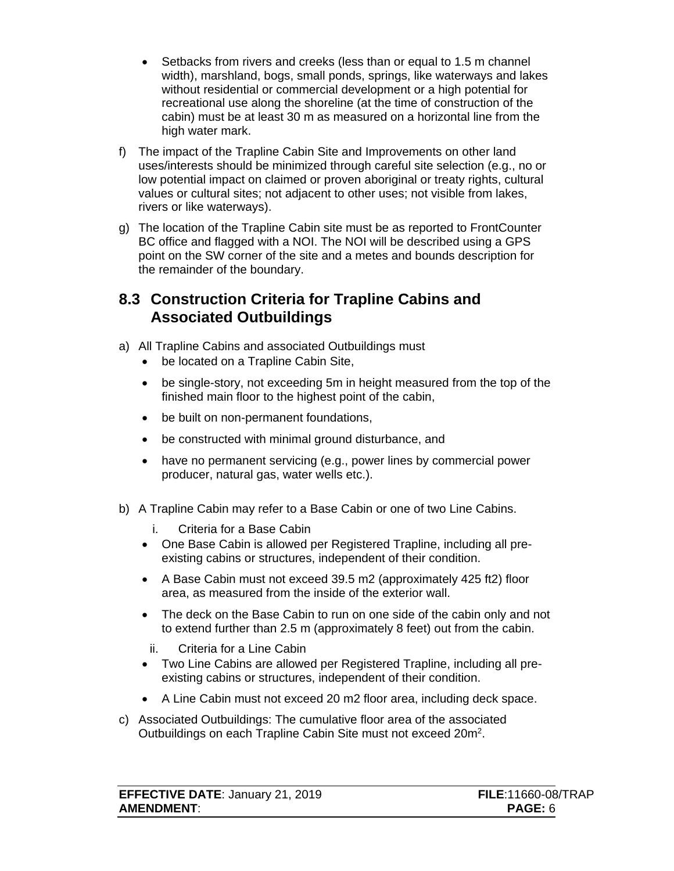- Setbacks from rivers and creeks (less than or equal to 1.5 m channel width), marshland, bogs, small ponds, springs, like waterways and lakes without residential or commercial development or a high potential for recreational use along the shoreline (at the time of construction of the cabin) must be at least 30 m as measured on a horizontal line from the high water mark.
- f) The impact of the Trapline Cabin Site and Improvements on other land uses/interests should be minimized through careful site selection (e.g., no or low potential impact on claimed or proven aboriginal or treaty rights, cultural values or cultural sites; not adjacent to other uses; not visible from lakes, rivers or like waterways).
- g) The location of the Trapline Cabin site must be as reported to FrontCounter BC office and flagged with a NOI. The NOI will be described using a GPS point on the SW corner of the site and a metes and bounds description for the remainder of the boundary.

#### <span id="page-8-0"></span>**8.3 Construction Criteria for Trapline Cabins and Associated Outbuildings**

- a) All Trapline Cabins and associated Outbuildings must
	- be located on a Trapline Cabin Site,
	- be single-story, not exceeding 5m in height measured from the top of the finished main floor to the highest point of the cabin,
	- be built on non-permanent foundations,
	- be constructed with minimal ground disturbance, and
	- have no permanent servicing (e.g., power lines by commercial power producer, natural gas, water wells etc.).
- b) A Trapline Cabin may refer to a Base Cabin or one of two Line Cabins.
	- i. Criteria for a Base Cabin
	- One Base Cabin is allowed per Registered Trapline, including all preexisting cabins or structures, independent of their condition.
	- A Base Cabin must not exceed 39.5 m2 (approximately 425 ft2) floor area, as measured from the inside of the exterior wall.
	- The deck on the Base Cabin to run on one side of the cabin only and not to extend further than 2.5 m (approximately 8 feet) out from the cabin.
	- ii. Criteria for a Line Cabin
	- Two Line Cabins are allowed per Registered Trapline, including all preexisting cabins or structures, independent of their condition.
	- A Line Cabin must not exceed 20 m2 floor area, including deck space.
- c) Associated Outbuildings: The cumulative floor area of the associated Outbuildings on each Trapline Cabin Site must not exceed 20m2.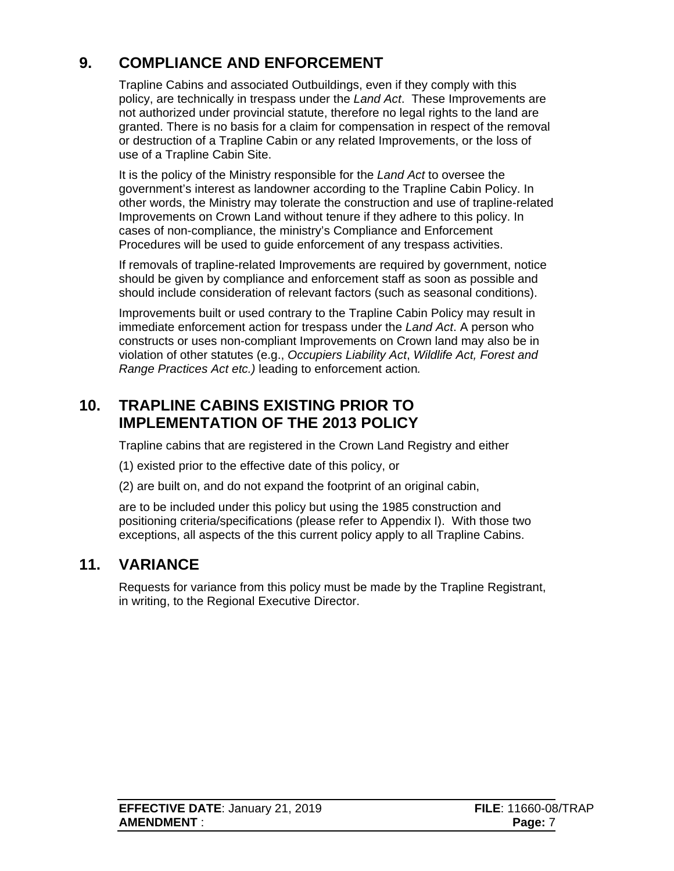# **9. COMPLIANCE AND ENFORCEMENT**

<span id="page-9-0"></span>Trapline Cabins and associated Outbuildings, even if they comply with this policy, are technically in trespass under the *Land Act*. These Improvements are not authorized under provincial statute, therefore no legal rights to the land are granted. There is no basis for a claim for compensation in respect of the removal or destruction of a Trapline Cabin or any related Improvements, or the loss of use of a Trapline Cabin Site.

It is the policy of the Ministry responsible for the *Land Act* to oversee the government's interest as landowner according to the Trapline Cabin Policy. In other words, the Ministry may tolerate the construction and use of trapline-related Improvements on Crown Land without tenure if they adhere to this policy. In cases of non-compliance, the ministry's Compliance and Enforcement Procedures will be used to guide enforcement of any trespass activities.

If removals of trapline-related Improvements are required by government, notice should be given by compliance and enforcement staff as soon as possible and should include consideration of relevant factors (such as seasonal conditions).

Improvements built or used contrary to the Trapline Cabin Policy may result in immediate enforcement action for trespass under the *Land Act*. A person who constructs or uses non-compliant Improvements on Crown land may also be in violation of other statutes (e.g., *Occupiers Liability Act*, *Wildlife Act, Forest and Range Practices Act etc.)* leading to enforcement action*.*

## <span id="page-9-1"></span>**10. TRAPLINE CABINS EXISTING PRIOR TO IMPLEMENTATION OF THE 2013 POLICY**

Trapline cabins that are registered in the Crown Land Registry and either

- (1) existed prior to the effective date of this policy, or
- (2) are built on, and do not expand the footprint of an original cabin,

are to be included under this policy but using the 1985 construction and positioning criteria/specifications (please refer to Appendix I). With those two exceptions, all aspects of the this current policy apply to all Trapline Cabins.

#### **11. VARIANCE**

<span id="page-9-2"></span>Requests for variance from this policy must be made by the Trapline Registrant, in writing, to the Regional Executive Director.